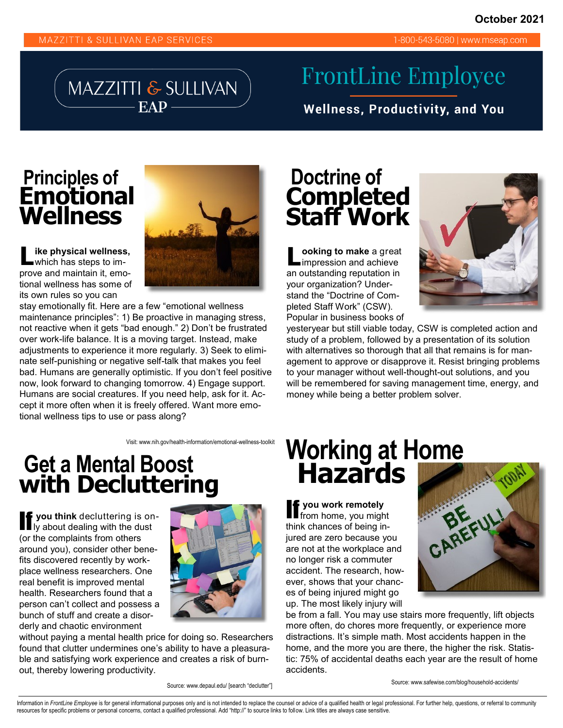1-800-543-5080 | www.mseap.com

MAZZITTI & SULLIVAN

# **FrontLine Employee**

**Wellness, Productivity, and You** 

#### **Principles of Emotional Wellness**



**L ike physical wellness,**  which has steps to improve and maintain it, emotional wellness has some of its own rules so you can

stay emotionally fit. Here are a few "emotional wellness maintenance principles": 1) Be proactive in managing stress, not reactive when it gets "bad enough." 2) Don't be frustrated over work-life balance. It is a moving target. Instead, make adjustments to experience it more regularly. 3) Seek to eliminate self-punishing or negative self-talk that makes you feel bad. Humans are generally optimistic. If you don't feel positive now, look forward to changing tomorrow. 4) Engage support. Humans are social creatures. If you need help, ask for it. Accept it more often when it is freely offered. Want more emotional wellness tips to use or pass along?

### **Doctrine of Completed Staff Work**

**L ooking to make** a great impression and achieve an outstanding reputation in your organization? Understand the "Doctrine of Completed Staff Work" (CSW). Popular in business books of



yesteryear but still viable today, CSW is completed action and study of a problem, followed by a presentation of its solution with alternatives so thorough that all that remains is for management to approve or disapprove it. Resist bringing problems to your manager without well-thought-out solutions, and you will be remembered for saving management time, energy, and money while being a better problem solver.

Visit: www.nih.gov/health-information/emotional-wellness-toolkit

### **Get a Mental Boost with Decluttering**

**If you think** decluttering is on-<br>If y about dealing with the dust (or the complaints from others around you), consider other benefits discovered recently by workplace wellness researchers. One real benefit is improved mental health. Researchers found that a person can't collect and possess a bunch of stuff and create a disorderly and chaotic environment



without paying a mental health price for doing so. Researchers found that clutter undermines one's ability to have a pleasurable and satisfying work experience and creates a risk of burnout, thereby lowering productivity.

Source: www.depaul.edu/ [search "declutter"]

## **Working at Home Hazards**

**if** you work remotely<br>
from home, you might think chances of being injured are zero because you are not at the workplace and no longer risk a commuter accident. The research, however, shows that your chances of being injured might go up. The most likely injury will



be from a fall. You may use stairs more frequently, lift objects more often, do chores more frequently, or experience more distractions. It's simple math. Most accidents happen in the home, and the more you are there, the higher the risk. Statistic: 75% of accidental deaths each year are the result of home accidents.

Source: www.safewise.com/blog/household-accidents/

Information in FrontLine Employee is for general informational purposes only and is not intended to replace the counsel or advice of a qualified health or legal professional. For further help, questions, or referral to com resources for specific problems or personal concerns, contact a qualified professional. Add "http://" to source links to follow. Link titles are always case sensitive.